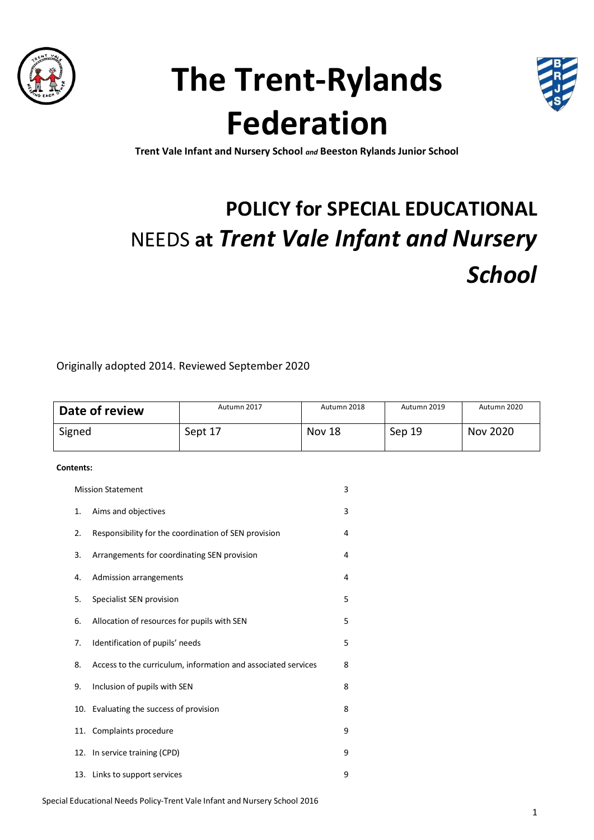

# **The Trent-Rylands Federation**



**Trent Vale Infant and Nursery School** *and* **Beeston Rylands Junior School**

## **POLICY for SPECIAL EDUCATIONAL** NEEDS **at** *Trent Vale Infant and Nursery School*

Originally adopted 2014. Reviewed September 2020

| Date of review           |                                                               | Autumn 2017                                          | Autumn 2018 | Autumn 2019 | Autumn 2020     |
|--------------------------|---------------------------------------------------------------|------------------------------------------------------|-------------|-------------|-----------------|
| Signed                   |                                                               | Sept 17                                              | Nov 18      | Sep 19      | <b>Nov 2020</b> |
| Contents:                |                                                               |                                                      |             |             |                 |
| <b>Mission Statement</b> |                                                               | 3                                                    |             |             |                 |
| 1.                       | Aims and objectives                                           |                                                      | 3           |             |                 |
| 2.                       |                                                               | Responsibility for the coordination of SEN provision | 4           |             |                 |
| 3.                       | Arrangements for coordinating SEN provision                   |                                                      | 4           |             |                 |
| 4.                       | Admission arrangements                                        |                                                      | 4           |             |                 |
| 5.                       | Specialist SEN provision                                      |                                                      | 5           |             |                 |
| 6.                       | Allocation of resources for pupils with SEN                   |                                                      | 5           |             |                 |
| 7.                       | Identification of pupils' needs                               |                                                      | 5           |             |                 |
| 8.                       | Access to the curriculum, information and associated services |                                                      | 8           |             |                 |
| 9.                       | Inclusion of pupils with SEN                                  |                                                      | 8           |             |                 |
|                          | 10. Evaluating the success of provision                       |                                                      | 8           |             |                 |
|                          | 11. Complaints procedure                                      |                                                      | 9           |             |                 |
|                          | 12. In service training (CPD)                                 |                                                      | 9           |             |                 |

Special Educational Needs Policy-Trent Vale Infant and Nursery School 2016

13. Links to support services 9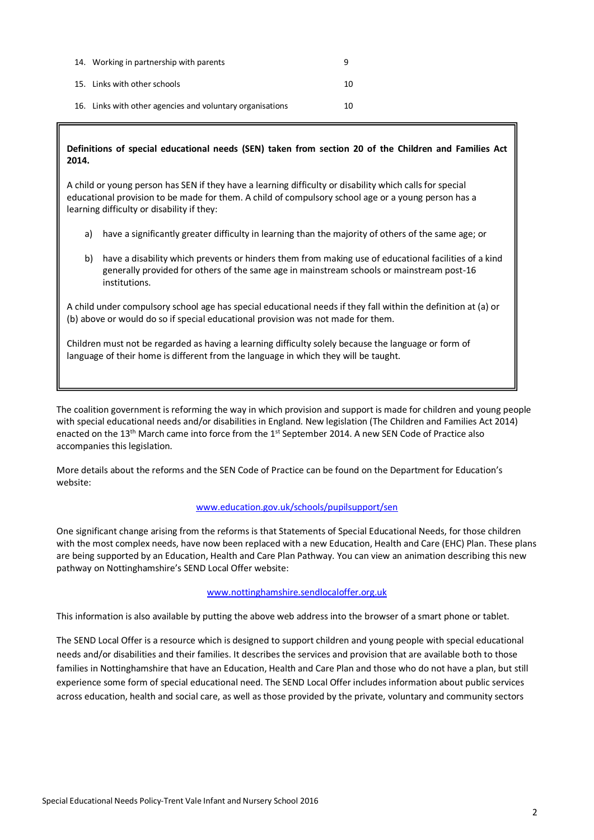| 14. Working in partnership with parents                   | q  |
|-----------------------------------------------------------|----|
| 15. Links with other schools                              | 10 |
| 16. Links with other agencies and voluntary organisations | 10 |

**Definitions of special educational needs (SEN) taken from section 20 of the Children and Families Act 2014.** 

A child or young person has SEN if they have a learning difficulty or disability which calls for special educational provision to be made for them. A child of compulsory school age or a young person has a learning difficulty or disability if they:

- a) have a significantly greater difficulty in learning than the majority of others of the same age; or
- b) have a disability which prevents or hinders them from making use of educational facilities of a kind generally provided for others of the same age in mainstream schools or mainstream post-16 institutions.

A child under compulsory school age has special educational needs if they fall within the definition at (a) or (b) above or would do so if special educational provision was not made for them.

Children must not be regarded as having a learning difficulty solely because the language or form of language of their home is different from the language in which they will be taught.

The coalition government is reforming the way in which provision and support is made for children and young people with special educational needs and/or disabilities in England. New legislation (The Children and Families Act 2014) enacted on the 13<sup>th</sup> March came into force from the 1<sup>st</sup> September 2014. A new SEN Code of Practice also accompanies this legislation.

More details about the reforms and the SEN Code of Practice can be found on the Department for Education's website:

#### [www.education.gov.uk/schools/pupilsupport/sen](http://www.education.gov.uk/schools/pupilsupport/sen)

One significant change arising from the reforms is that Statements of Special Educational Needs, for those children with the most complex needs, have now been replaced with a new Education, Health and Care (EHC) Plan. These plans are being supported by an Education, Health and Care Plan Pathway. You can view an animation describing this new pathway on Nottinghamshire's SEND Local Offer website:

#### [www.nottinghamshire.sendlocaloffer.org.uk](http://www.nottinghamshire.sendlocaloffer.org.uk/)

This information is also available by putting the above web address into the browser of a smart phone or tablet.

The SEND Local Offer is a resource which is designed to support children and young people with special educational needs and/or disabilities and their families. It describes the services and provision that are available both to those families in Nottinghamshire that have an Education, Health and Care Plan and those who do not have a plan, but still experience some form of special educational need. The SEND Local Offer includes information about public services across education, health and social care, as well as those provided by the private, voluntary and community sectors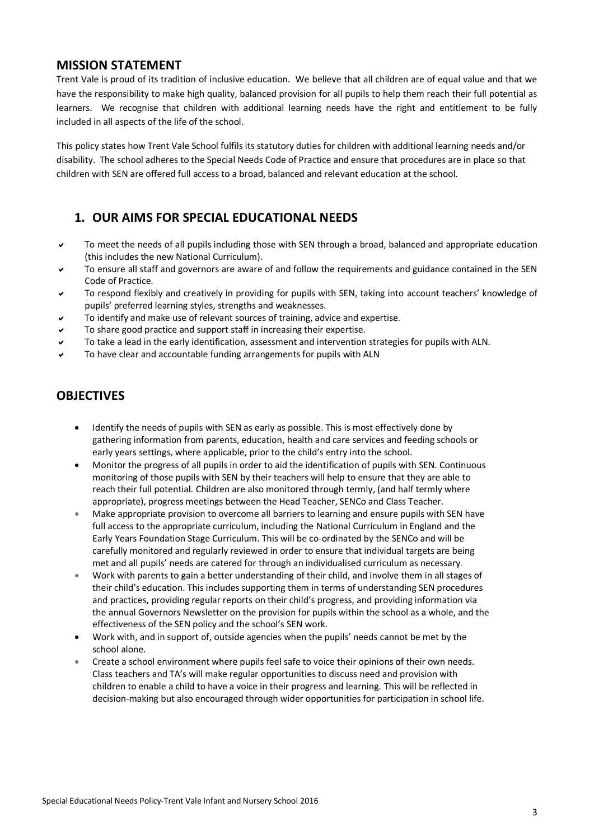## **MISSION STATEMENT**

Trent Vale is proud of its tradition of inclusive education. We believe that all children are of equal value and that we have the responsibility to make high quality, balanced provision for all pupils to help them reach their full potential as learners. We recognise that children with additional learning needs have the right and entitlement to be fully included in all aspects of the life of the school.

This policy states how Trent Vale School fulfils its statutory duties for children with additional learning needs and/or disability. The school adheres to the Special Needs Code of Practice and ensure that procedures are in place so that children with SEN are offered full access to a broad, balanced and relevant education at the school.

## **1. OUR AIMS FOR SPECIAL EDUCATIONAL NEEDS**

- To meet the needs of all pupils including those with SEN through a broad, balanced and appropriate education (this includes the new National Curriculum).
- To ensure all staff and governors are aware of and follow the requirements and guidance contained in the SEN Code of Practice.
- To respond flexibly and creatively in providing for pupils with SEN, taking into account teachers' knowledge of pupils' preferred learning styles, strengths and weaknesses.
- To identify and make use of relevant sources of training, advice and expertise.
- To share good practice and support staff in increasing their expertise.
- To take a lead in the early identification, assessment and intervention strategies for pupils with ALN.
- To have clear and accountable funding arrangements for pupils with ALN

## **OBJECTIVES**

- Identify the needs of pupils with SEN as early as possible. This is most effectively done by gathering information from parents, education, health and care services and feeding schools or early years settings, where applicable, prior to the child's entry into the school.
- Monitor the progress of all pupils in order to aid the identification of pupils with SEN. Continuous monitoring of those pupils with SEN by their teachers will help to ensure that they are able to reach their full potential. Children are also monitored through termly, (and half termly where appropriate), progress meetings between the Head Teacher, SENCo and Class Teacher.
- Make appropriate provision to overcome all barriers to learning and ensure pupils with SEN have full access to the appropriate curriculum, including the National Curriculum in England and the Early Years Foundation Stage Curriculum. This will be co-ordinated by the SENCo and will be carefully monitored and regularly reviewed in order to ensure that individual targets are being met and all pupils' needs are catered for through an individualised curriculum as necessary.
- Work with parents to gain a better understanding of their child, and involve them in all stages of their child's education. This includes supporting them in terms of understanding SEN procedures and practices, providing regular reports on their child's progress, and providing information via the annual Governors Newsletter on the provision for pupils within the school as a whole, and the effectiveness of the SEN policy and the school's SEN work.
- Work with, and in support of, outside agencies when the pupils' needs cannot be met by the school alone.
- Create a school environment where pupils feel safe to voice their opinions of their own needs. Class teachers and TA's will make regular opportunities to discuss need and provision with children to enable a child to have a voice in their progress and learning. This will be reflected in decision-making but also encouraged through wider opportunities for participation in school life*.*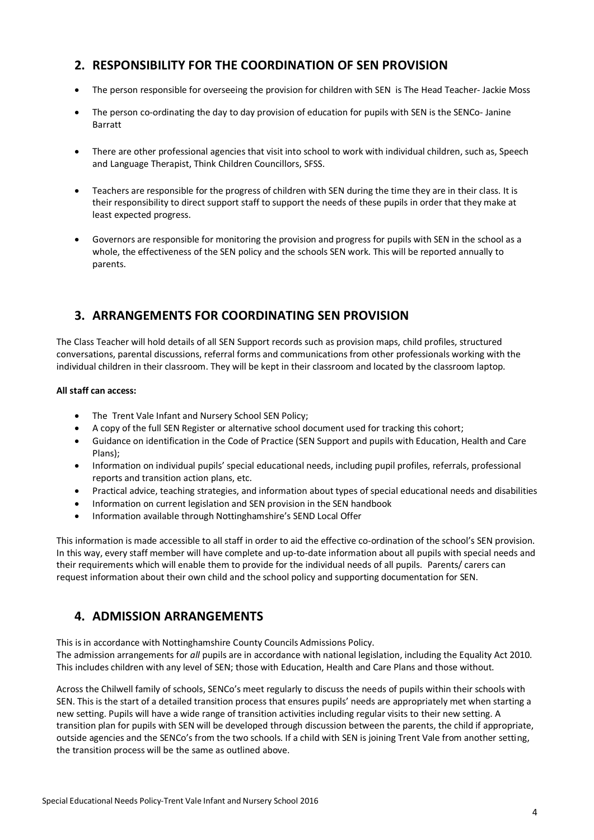## **2. RESPONSIBILITY FOR THE COORDINATION OF SEN PROVISION**

- The person responsible for overseeing the provision for children with SEN is The Head Teacher- Jackie Moss
- The person co-ordinating the day to day provision of education for pupils with SEN is the SENCo- Janine Barratt
- There are other professional agencies that visit into school to work with individual children, such as, Speech and Language Therapist, Think Children Councillors, SFSS.
- Teachers are responsible for the progress of children with SEN during the time they are in their class. It is their responsibility to direct support staff to support the needs of these pupils in order that they make at least expected progress.
- Governors are responsible for monitoring the provision and progress for pupils with SEN in the school as a whole, the effectiveness of the SEN policy and the schools SEN work. This will be reported annually to parents.

## **3. ARRANGEMENTS FOR COORDINATING SEN PROVISION**

The Class Teacher will hold details of all SEN Support records such as provision maps, child profiles, structured conversations, parental discussions, referral forms and communications from other professionals working with the individual children in their classroom. They will be kept in their classroom and located by the classroom laptop.

#### **All staff can access:**

- The Trent Vale Infant and Nursery School SEN Policy;
- A copy of the full SEN Register or alternative school document used for tracking this cohort;
- Guidance on identification in the Code of Practice (SEN Support and pupils with Education, Health and Care Plans);
- Information on individual pupils' special educational needs, including pupil profiles, referrals, professional reports and transition action plans, etc.
- Practical advice, teaching strategies, and information about types of special educational needs and disabilities
- Information on current legislation and SEN provision in the SEN handbook
- Information available through Nottinghamshire's SEND Local Offer

This information is made accessible to all staff in order to aid the effective co-ordination of the school's SEN provision. In this way, every staff member will have complete and up-to-date information about all pupils with special needs and their requirements which will enable them to provide for the individual needs of all pupils. Parents/ carers can request information about their own child and the school policy and supporting documentation for SEN.

## **4. ADMISSION ARRANGEMENTS**

This is in accordance with Nottinghamshire County Councils Admissions Policy.

The admission arrangements for *all* pupils are in accordance with national legislation, including the Equality Act 2010*.*  This includes children with any level of SEN; those with Education, Health and Care Plans and those without.

Across the Chilwell family of schools, SENCo's meet regularly to discuss the needs of pupils within their schools with SEN. This is the start of a detailed transition process that ensures pupils' needs are appropriately met when starting a new setting. Pupils will have a wide range of transition activities including regular visits to their new setting. A transition plan for pupils with SEN will be developed through discussion between the parents, the child if appropriate, outside agencies and the SENCo's from the two schools. If a child with SEN is joining Trent Vale from another setting, the transition process will be the same as outlined above.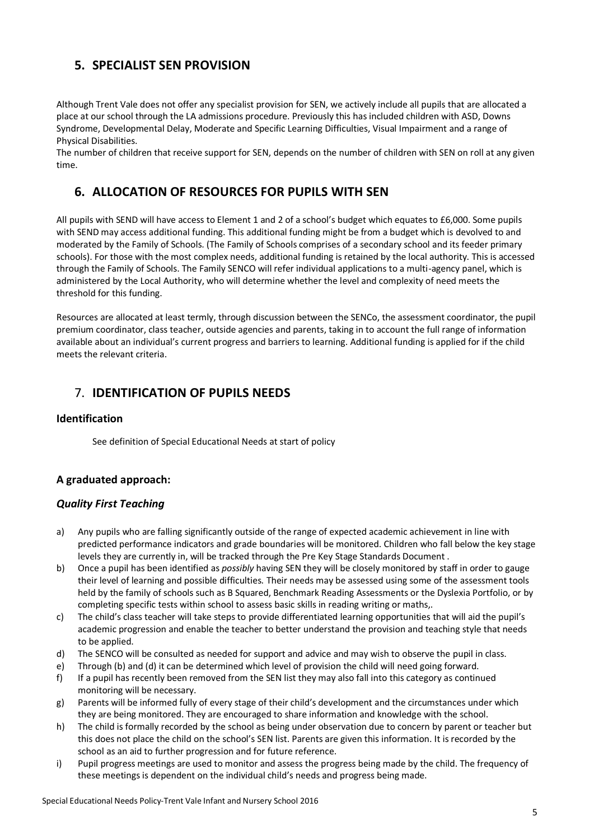## **5. SPECIALIST SEN PROVISION**

Although Trent Vale does not offer any specialist provision for SEN, we actively include all pupils that are allocated a place at our school through the LA admissions procedure. Previously this has included children with ASD, Downs Syndrome, Developmental Delay, Moderate and Specific Learning Difficulties, Visual Impairment and a range of Physical Disabilities.

The number of children that receive support for SEN, depends on the number of children with SEN on roll at any given time.

## **6. ALLOCATION OF RESOURCES FOR PUPILS WITH SEN**

All pupils with SEND will have access to Element 1 and 2 of a school's budget which equates to £6,000. Some pupils with SEND may access additional funding. This additional funding might be from a budget which is devolved to and moderated by the Family of Schools. (The Family of Schools comprises of a secondary school and its feeder primary schools). For those with the most complex needs, additional funding is retained by the local authority. This is accessed through the Family of Schools. The Family SENCO will refer individual applications to a multi-agency panel, which is administered by the Local Authority, who will determine whether the level and complexity of need meets the threshold for this funding.

Resources are allocated at least termly, through discussion between the SENCo, the assessment coordinator, the pupil premium coordinator, class teacher, outside agencies and parents, taking in to account the full range of information available about an individual's current progress and barriers to learning. Additional funding is applied for if the child meets the relevant criteria.

## 7. **IDENTIFICATION OF PUPILS NEEDS**

#### **Identification**

See definition of Special Educational Needs at start of policy

#### **A graduated approach:**

#### *Quality First Teaching*

- a) Any pupils who are falling significantly outside of the range of expected academic achievement in line with predicted performance indicators and grade boundaries will be monitored. Children who fall below the key stage levels they are currently in, will be tracked through the Pre Key Stage Standards Document .
- b) Once a pupil has been identified as *possibly* having SEN they will be closely monitored by staff in order to gauge their level of learning and possible difficulties. Their needs may be assessed using some of the assessment tools held by the family of schools such as B Squared, Benchmark Reading Assessments or the Dyslexia Portfolio, or by completing specific tests within school to assess basic skills in reading writing or maths,.
- c) The child's class teacher will take steps to provide differentiated learning opportunities that will aid the pupil's academic progression and enable the teacher to better understand the provision and teaching style that needs to be applied.
- d) The SENCO will be consulted as needed for support and advice and may wish to observe the pupil in class.
- e) Through (b) and (d) it can be determined which level of provision the child will need going forward.
- f) If a pupil has recently been removed from the SEN list they may also fall into this category as continued monitoring will be necessary.
- g) Parents will be informed fully of every stage of their child's development and the circumstances under which they are being monitored. They are encouraged to share information and knowledge with the school.
- h) The child is formally recorded by the school as being under observation due to concern by parent or teacher but this does not place the child on the school's SEN list. Parents are given this information. It is recorded by the school as an aid to further progression and for future reference.
- i) Pupil progress meetings are used to monitor and assess the progress being made by the child. The frequency of these meetings is dependent on the individual child's needs and progress being made.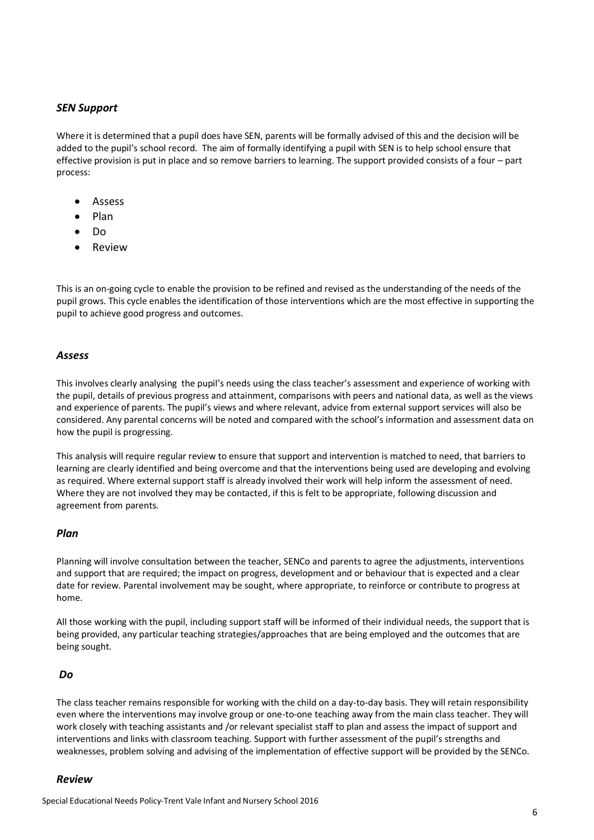#### *SEN Support*

Where it is determined that a pupil does have SEN, parents will be formally advised of this and the decision will be added to the pupil's school record. The aim of formally identifying a pupil with SEN is to help school ensure that effective provision is put in place and so remove barriers to learning. The support provided consists of a four – part process:

- Assess
- Plan
- Do
- Review

This is an on-going cycle to enable the provision to be refined and revised as the understanding of the needs of the pupil grows. This cycle enables the identification of those interventions which are the most effective in supporting the pupil to achieve good progress and outcomes.

#### *Assess*

This involves clearly analysing the pupil's needs using the class teacher's assessment and experience of working with the pupil, details of previous progress and attainment, comparisons with peers and national data, as well as the views and experience of parents. The pupil's views and where relevant, advice from external support services will also be considered. Any parental concerns will be noted and compared with the school's information and assessment data on how the pupil is progressing.

This analysis will require regular review to ensure that support and intervention is matched to need, that barriers to learning are clearly identified and being overcome and that the interventions being used are developing and evolving as required. Where external support staff is already involved their work will help inform the assessment of need. Where they are not involved they may be contacted, if this is felt to be appropriate, following discussion and agreement from parents.

#### *Plan*

Planning will involve consultation between the teacher, SENCo and parents to agree the adjustments, interventions and support that are required; the impact on progress, development and or behaviour that is expected and a clear date for review. Parental involvement may be sought, where appropriate, to reinforce or contribute to progress at home.

All those working with the pupil, including support staff will be informed of their individual needs, the support that is being provided, any particular teaching strategies/approaches that are being employed and the outcomes that are being sought.

#### *Do*

The class teacher remains responsible for working with the child on a day-to-day basis. They will retain responsibility even where the interventions may involve group or one-to-one teaching away from the main class teacher. They will work closely with teaching assistants and /or relevant specialist staff to plan and assess the impact of support and interventions and links with classroom teaching. Support with further assessment of the pupil's strengths and weaknesses, problem solving and advising of the implementation of effective support will be provided by the SENCo.

#### *Review*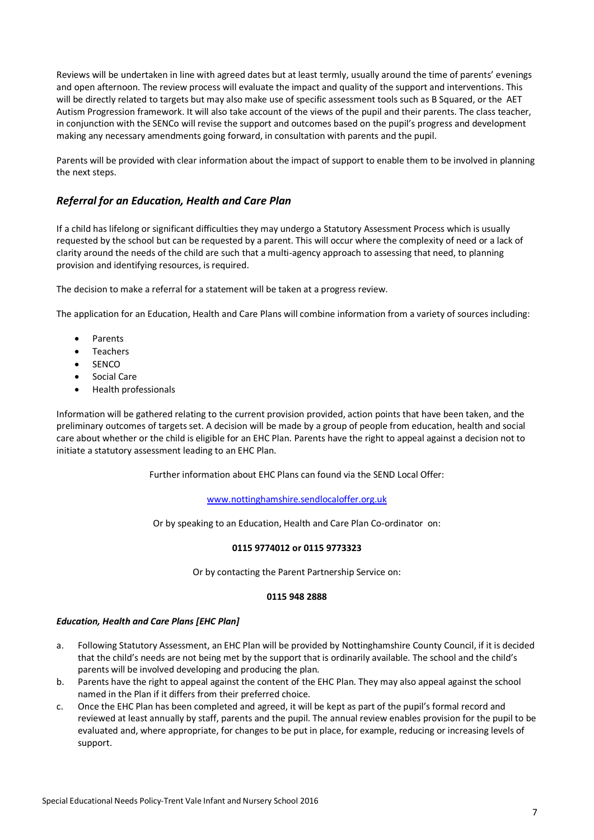Reviews will be undertaken in line with agreed dates but at least termly, usually around the time of parents' evenings and open afternoon. The review process will evaluate the impact and quality of the support and interventions. This will be directly related to targets but may also make use of specific assessment tools such as B Squared, or the AET Autism Progression framework. It will also take account of the views of the pupil and their parents. The class teacher, in conjunction with the SENCo will revise the support and outcomes based on the pupil's progress and development making any necessary amendments going forward, in consultation with parents and the pupil.

Parents will be provided with clear information about the impact of support to enable them to be involved in planning the next steps.

### *Referral for an Education, Health and Care Plan*

If a child has lifelong or significant difficulties they may undergo a Statutory Assessment Process which is usually requested by the school but can be requested by a parent. This will occur where the complexity of need or a lack of clarity around the needs of the child are such that a multi-agency approach to assessing that need, to planning provision and identifying resources, is required.

The decision to make a referral for a statement will be taken at a progress review.

The application for an Education, Health and Care Plans will combine information from a variety of sources including:

- Parents
- Teachers
- SENCO
- Social Care
- Health professionals

Information will be gathered relating to the current provision provided, action points that have been taken, and the preliminary outcomes of targets set. A decision will be made by a group of people from education, health and social care about whether or the child is eligible for an EHC Plan. Parents have the right to appeal against a decision not to initiate a statutory assessment leading to an EHC Plan.

Further information about EHC Plans can found via the SEND Local Offer:

#### [www.nottinghamshire.sendlocaloffer.org.uk](http://www.nottinghamshire.sendlocaloffer.org.uk/)

Or by speaking to an Education, Health and Care Plan Co-ordinator on:

#### **0115 9774012 or 0115 9773323**

Or by contacting the Parent Partnership Service on:

#### **0115 948 2888**

#### *Education, Health and Care Plans [EHC Plan]*

- a. Following Statutory Assessment, an EHC Plan will be provided by Nottinghamshire County Council, if it is decided that the child's needs are not being met by the support that is ordinarily available. The school and the child's parents will be involved developing and producing the plan.
- b. Parents have the right to appeal against the content of the EHC Plan. They may also appeal against the school named in the Plan if it differs from their preferred choice.
- c. Once the EHC Plan has been completed and agreed, it will be kept as part of the pupil's formal record and reviewed at least annually by staff, parents and the pupil. The annual review enables provision for the pupil to be evaluated and, where appropriate, for changes to be put in place, for example, reducing or increasing levels of support.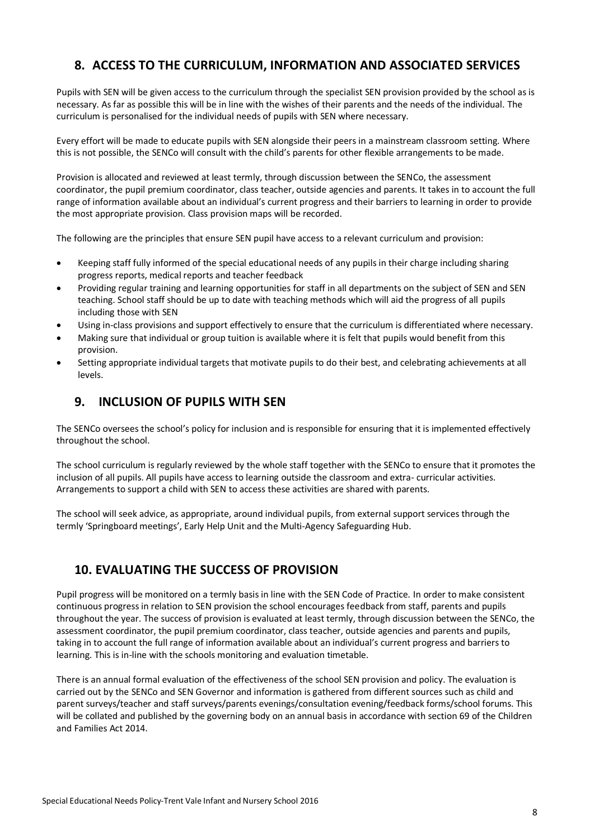## **8. ACCESS TO THE CURRICULUM, INFORMATION AND ASSOCIATED SERVICES**

Pupils with SEN will be given access to the curriculum through the specialist SEN provision provided by the school as is necessary. As far as possible this will be in line with the wishes of their parents and the needs of the individual. The curriculum is personalised for the individual needs of pupils with SEN where necessary.

Every effort will be made to educate pupils with SEN alongside their peers in a mainstream classroom setting. Where this is not possible, the SENCo will consult with the child's parents for other flexible arrangements to be made.

Provision is allocated and reviewed at least termly, through discussion between the SENCo, the assessment coordinator, the pupil premium coordinator, class teacher, outside agencies and parents. It takes in to account the full range of information available about an individual's current progress and their barriers to learning in order to provide the most appropriate provision. Class provision maps will be recorded.

The following are the principles that ensure SEN pupil have access to a relevant curriculum and provision:

- Keeping staff fully informed of the special educational needs of any pupils in their charge including sharing progress reports, medical reports and teacher feedback
- Providing regular training and learning opportunities for staff in all departments on the subject of SEN and SEN teaching. School staff should be up to date with teaching methods which will aid the progress of all pupils including those with SEN
- Using in-class provisions and support effectively to ensure that the curriculum is differentiated where necessary.
- Making sure that individual or group tuition is available where it is felt that pupils would benefit from this provision.
- Setting appropriate individual targets that motivate pupils to do their best, and celebrating achievements at all levels.

## **9. INCLUSION OF PUPILS WITH SEN**

The SENCo oversees the school's policy for inclusion and is responsible for ensuring that it is implemented effectively throughout the school.

The school curriculum is regularly reviewed by the whole staff together with the SENCo to ensure that it promotes the inclusion of all pupils. All pupils have access to learning outside the classroom and extra- curricular activities. Arrangements to support a child with SEN to access these activities are shared with parents.

The school will seek advice, as appropriate, around individual pupils, from external support services through the termly 'Springboard meetings', Early Help Unit and the Multi-Agency Safeguarding Hub.

## **10. EVALUATING THE SUCCESS OF PROVISION**

Pupil progress will be monitored on a termly basis in line with the SEN Code of Practice. In order to make consistent continuous progress in relation to SEN provision the school encourages feedback from staff, parents and pupils throughout the year. The success of provision is evaluated at least termly, through discussion between the SENCo, the assessment coordinator, the pupil premium coordinator, class teacher, outside agencies and parents and pupils, taking in to account the full range of information available about an individual's current progress and barriers to learning. This is in-line with the schools monitoring and evaluation timetable.

There is an annual formal evaluation of the effectiveness of the school SEN provision and policy. The evaluation is carried out by the SENCo and SEN Governor and information is gathered from different sources such as child and parent surveys/teacher and staff surveys/parents evenings/consultation evening/feedback forms/school forums. This will be collated and published by the governing body on an annual basis in accordance with section 69 of the Children and Families Act 2014.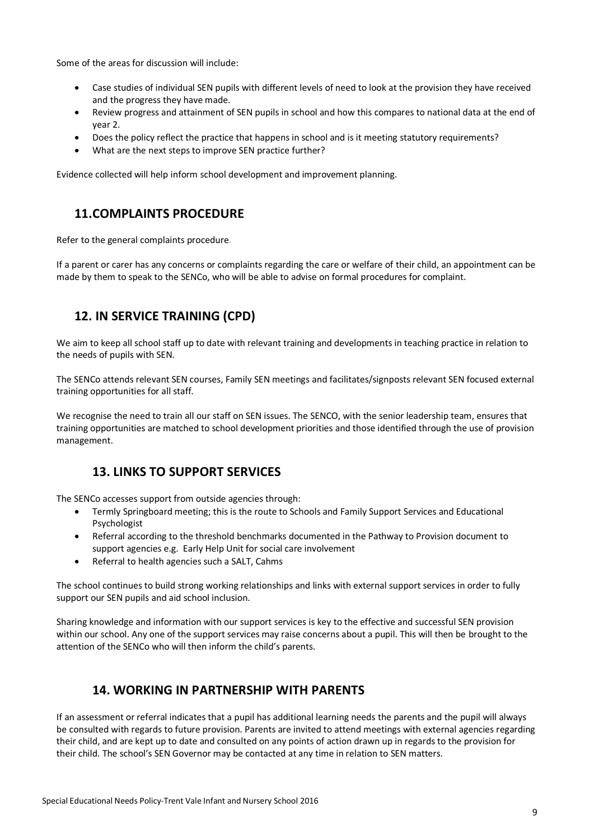Some of the areas for discussion will include:

- Case studies of individual SEN pupils with different levels of need to look at the provision they have received and the progress they have made.
- Review progress and attainment of SEN pupils in school and how this compares to national data at the end of year 2.
- Does the policy reflect the practice that happens in school and is it meeting statutory requirements?
- What are the next steps to improve SEN practice further?

Evidence collected will help inform school development and improvement planning.

## **11.COMPLAINTS PROCEDURE**

Refer to the general complaints procedure.

If a parent or carer has any concerns or complaints regarding the care or welfare of their child, an appointment can be made by them to speak to the SENCo, who will be able to advise on formal procedures for complaint.

## **12. IN SERVICE TRAINING (CPD)**

We aim to keep all school staff up to date with relevant training and developments in teaching practice in relation to the needs of pupils with SEN.

The SENCo attends relevant SEN courses, Family SEN meetings and facilitates/signposts relevant SEN focused external training opportunities for all staff.

We recognise the need to train all our staff on SEN issues. The SENCO, with the senior leadership team, ensures that training opportunities are matched to school development priorities and those identified through the use of provision management.

## **13. LINKS TO SUPPORT SERVICES**

The SENCo accesses support from outside agencies through:

- Termly Springboard meeting; this is the route to Schools and Family Support Services and Educational Psychologist
- Referral according to the threshold benchmarks documented in the Pathway to Provision document to support agencies e.g. Early Help Unit for social care involvement
- Referral to health agencies such a SALT, Cahms

The school continues to build strong working relationships and links with external support services in order to fully support our SEN pupils and aid school inclusion.

Sharing knowledge and information with our support services is key to the effective and successful SEN provision within our school. Any one of the support services may raise concerns about a pupil. This will then be brought to the attention of the SENCo who will then inform the child's parents.

## **14. WORKING IN PARTNERSHIP WITH PARENTS**

If an assessment or referral indicates that a pupil has additional learning needs the parents and the pupil will always be consulted with regards to future provision. Parents are invited to attend meetings with external agencies regarding their child, and are kept up to date and consulted on any points of action drawn up in regards to the provision for their child. The school's SEN Governor may be contacted at any time in relation to SEN matters.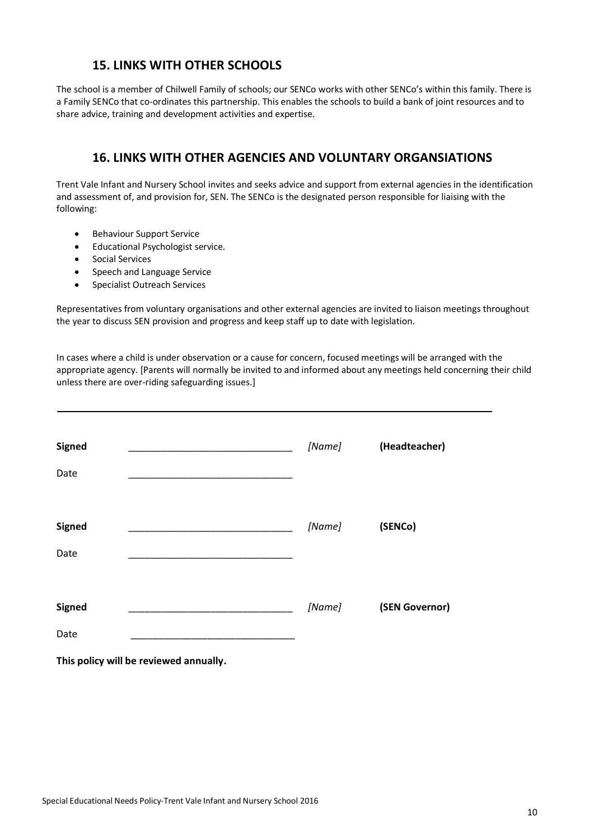## **15. LINKS WITH OTHER SCHOOLS**

The school is a member of Chilwell Family of schools; our SENCo works with other SENCo's within this family. There is a Family SENCo that co-ordinates this partnership. This enables the schools to build a bank of joint resources and to share advice, training and development activities and expertise.

## **16. LINKS WITH OTHER AGENCIES AND VOLUNTARY ORGANSIATIONS**

Trent Vale Infant and Nursery School invites and seeks advice and support from external agencies in the identification and assessment of, and provision for, SEN. The SENCo is the designated person responsible for liaising with the following:

- **•** Behaviour Support Service
- Educational Psychologist service.
- **•** Social Services
- Speech and Language Service
- Specialist Outreach Services

Representatives from voluntary organisations and other external agencies are invited to liaison meetings throughout the year to discuss SEN provision and progress and keep staff up to date with legislation.

In cases where a child is under observation or a cause for concern, focused meetings will be arranged with the appropriate agency. [Parents will normally be invited to and informed about any meetings held concerning their child unless there are over-riding safeguarding issues.]

| Signed         | [Name] | (Headteacher)  |
|----------------|--------|----------------|
| Date<br>Signed | [Name] | (SENCo)        |
| Date           |        |                |
| Signed         | [Name] | (SEN Governor) |
| Date           |        |                |

**This policy will be reviewed annually.**